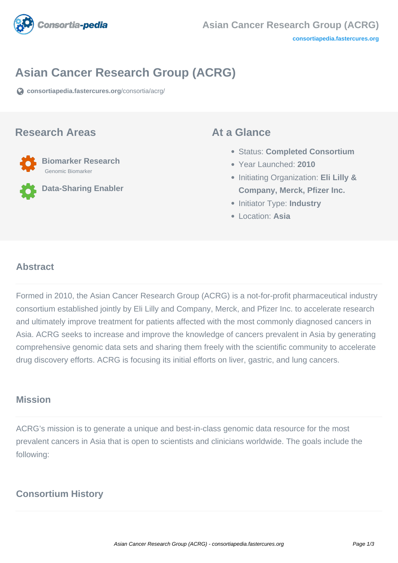

# **Asian Cancer Research Group (ACRG)**

**[consortiapedia.fastercures.org](https://consortiapedia.fastercures.org/consortia/acrg/)**[/consortia/acrg/](https://consortiapedia.fastercures.org/consortia/acrg/)

#### **Research Areas**

 **Biomarker Research** Genomic Biomarker

**Data-Sharing Enabler**

#### **At a Glance**

- Status: **Completed Consortium**
- Year Launched: **2010**
- Initiating Organization: **Eli Lilly & Company, Merck, Pfizer Inc.**
- **Initiator Type: Industry**
- Location: **Asia**

#### $\overline{a}$ **Abstract**

Formed in 2010, the Asian Cancer Research Group (ACRG) is a not-for-profit pharmaceutical industry consortium established jointly by Eli Lilly and Company, Merck, and Pfizer Inc. to accelerate research and ultimately improve treatment for patients affected with the most commonly diagnosed cancers in Asia. ACRG seeks to increase and improve the knowledge of cancers prevalent in Asia by generating comprehensive genomic data sets and sharing them freely with the scientific community to accelerate drug discovery efforts. ACRG is focusing its initial efforts on liver, gastric, and lung cancers.

#### **Mission**

ACRG's mission is to generate a unique and best-in-class genomic data resource for the most prevalent cancers in Asia that is open to scientists and clinicians worldwide. The goals include the following:

### **Consortium History**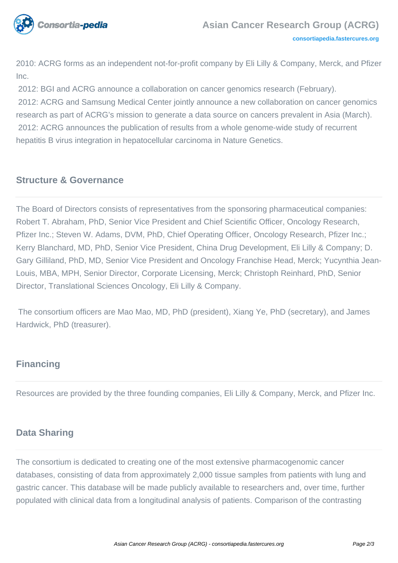

2010: ACRG forms as an independent not-for-profit company by Eli Lilly & Company, Merck, and Pfizer Inc.

2012: BGI and ACRG announce a collaboration on cancer genomics research (February).

 2012: ACRG and Samsung Medical Center jointly announce a new collaboration on cancer genomics research as part of ACRG's mission to generate a data source on cancers prevalent in Asia (March). 2012: ACRG announces the publication of results from a whole genome-wide study of recurrent hepatitis B virus integration in hepatocellular carcinoma in Nature Genetics.

## **Structure & Governance**

The Board of Directors consists of representatives from the sponsoring pharmaceutical companies: Robert T. Abraham, PhD, Senior Vice President and Chief Scientific Officer, Oncology Research, Pfizer Inc.; Steven W. Adams, DVM, PhD, Chief Operating Officer, Oncology Research, Pfizer Inc.; Kerry Blanchard, MD, PhD, Senior Vice President, China Drug Development, Eli Lilly & Company; D. Gary Gilliland, PhD, MD, Senior Vice President and Oncology Franchise Head, Merck; Yucynthia Jean-Louis, MBA, MPH, Senior Director, Corporate Licensing, Merck; Christoph Reinhard, PhD, Senior Director, Translational Sciences Oncology, Eli Lilly & Company.

 The consortium officers are Mao Mao, MD, PhD (president), Xiang Ye, PhD (secretary), and James Hardwick, PhD (treasurer).

## **Financing**

Resources are provided by the three founding companies, Eli Lilly & Company, Merck, and Pfizer Inc.

## **Data Sharing**

The consortium is dedicated to creating one of the most extensive pharmacogenomic cancer databases, consisting of data from approximately 2,000 tissue samples from patients with lung and gastric cancer. This database will be made publicly available to researchers and, over time, further populated with clinical data from a longitudinal analysis of patients. Comparison of the contrasting